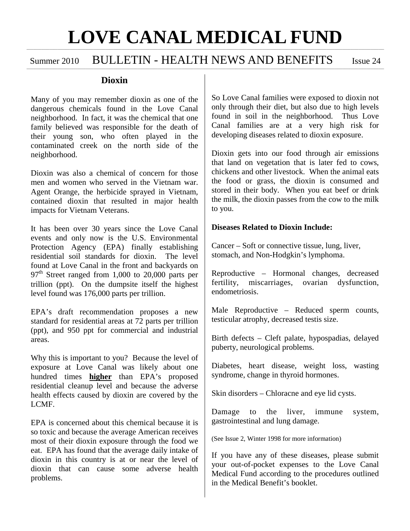#### **\_\_\_\_\_\_\_\_\_\_\_\_\_\_\_\_\_\_\_\_\_\_\_\_\_\_\_\_\_\_\_\_\_\_\_\_\_\_\_\_\_\_\_\_\_\_\_\_\_\_\_\_\_\_\_\_\_\_\_\_\_\_\_\_\_\_\_\_\_\_\_\_\_\_\_\_\_\_\_\_\_\_\_\_\_\_\_\_\_\_\_\_\_\_\_\_\_\_\_\_\_\_\_\_\_\_\_\_\_\_\_\_\_\_\_\_\_\_\_\_\_\_\_\_\_\_\_ LOVE CANAL MEDICAL FUND \_\_\_\_\_\_\_\_\_\_\_\_\_\_\_\_\_\_\_\_\_\_\_\_\_\_\_\_\_\_\_\_\_\_\_\_\_\_\_\_\_\_\_\_\_\_\_\_\_\_\_\_\_\_\_\_\_\_\_\_\_\_\_\_\_\_\_\_\_\_\_\_\_\_\_\_\_\_\_\_\_\_\_\_\_\_\_\_\_\_\_\_\_\_\_\_\_\_\_\_\_\_\_\_\_\_\_\_\_\_\_\_\_\_\_\_\_\_\_\_\_\_\_\_\_\_\_\_\_\_\_\_\_\_\_\_\_\_\_\_**

,我们也不能会有什么?""我们的人,我们也不能会有什么?""我们的人,我们也不能会有什么?""我们的人,我们也不能会有什么?""我们的人,我们也不能会有什么?""

## Summer 2010 BULLETIN - HEALTH NEWS AND BENEFITS Issue 24

### **Dioxin**

Many of you may remember dioxin as one of the dangerous chemicals found in the Love Canal neighborhood. In fact, it was the chemical that one family believed was responsible for the death of their young son, who often played in the contaminated creek on the north side of the neighborhood.

Dioxin was also a chemical of concern for those men and women who served in the Vietnam war. Agent Orange, the herbicide sprayed in Vietnam, contained dioxin that resulted in major health impacts for Vietnam Veterans.

It has been over 30 years since the Love Canal events and only now is the U.S. Environmental Protection Agency (EPA) finally establishing residential soil standards for dioxin. The level found at Love Canal in the front and backyards on  $97<sup>th</sup>$  Street ranged from 1,000 to 20,000 parts per trillion (ppt). On the dumpsite itself the highest level found was 176,000 parts per trillion.

EPA's draft recommendation proposes a new standard for residential areas at 72 parts per trillion (ppt), and 950 ppt for commercial and industrial areas.

Why this is important to you? Because the level of exposure at Love Canal was likely about one hundred times **higher** than EPA's proposed residential cleanup level and because the adverse health effects caused by dioxin are covered by the LCMF.

EPA is concerned about this chemical because it is so toxic and because the average American receives most of their dioxin exposure through the food we eat. EPA has found that the average daily intake of dioxin in this country is at or near the level of dioxin that can cause some adverse health problems.

So Love Canal families were exposed to dioxin not only through their diet, but also due to high levels found in soil in the neighborhood. Thus Love Canal families are at a very high risk for developing diseases related to dioxin exposure.

Dioxin gets into our food through air emissions that land on vegetation that is later fed to cows, chickens and other livestock. When the animal eats the food or grass, the dioxin is consumed and stored in their body. When you eat beef or drink the milk, the dioxin passes from the cow to the milk to you.

#### **Diseases Related to Dioxin Include:**

Cancer – Soft or connective tissue, lung, liver, stomach, and Non-Hodgkin's lymphoma.

Reproductive – Hormonal changes, decreased fertility, miscarriages, ovarian dysfunction, endometriosis.

Male Reproductive – Reduced sperm counts, testicular atrophy, decreased testis size.

Birth defects – Cleft palate, hypospadias, delayed puberty, neurological problems.

Diabetes, heart disease, weight loss, wasting syndrome, change in thyroid hormones.

Skin disorders – Chloracne and eye lid cysts.

Damage to the liver, immune system, gastrointestinal and lung damage.

(See Issue 2, Winter 1998 for more information)

If you have any of these diseases, please submit your out-of-pocket expenses to the Love Canal Medical Fund according to the procedures outlined in the Medical Benefit's booklet.